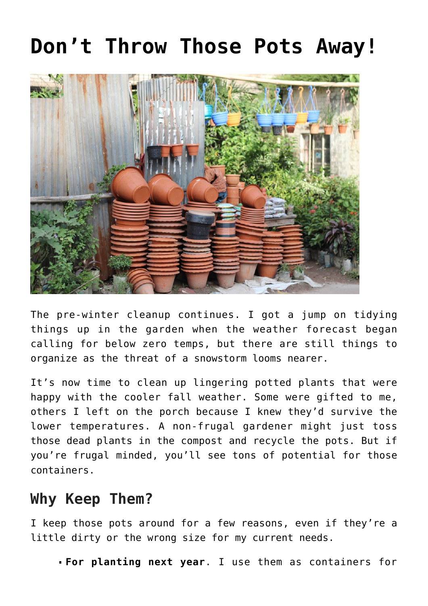## **[Don't Throw Those Pots Away!](https://www.frugalgardening.com/dont-throw-those-pots-away.html)**



The pre-winter cleanup continues. I got a jump on tidying things up in the garden when the weather forecast began calling for below zero temps, but there are still things to organize as the threat of a snowstorm looms nearer.

It's now time to clean up lingering potted plants that were happy with the cooler fall weather. Some were gifted to me, others I left on the porch because I knew they'd survive the lower temperatures. A non-frugal gardener might just toss those dead plants in the compost and recycle the pots. But if you're frugal minded, you'll see tons of potential for those containers.

## **Why Keep Them?**

I keep those pots around for a few reasons, even if they're a little dirty or the wrong size for my current needs.

**For planting next year**. I use them as containers for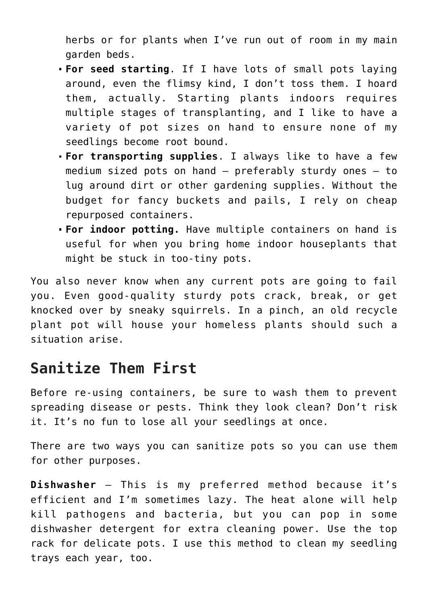herbs or for plants when I've run out of room in my main garden beds.

- **For seed starting**. If I have lots of small pots laying around, even the flimsy kind, I don't toss them. I hoard them, actually. Starting plants indoors requires multiple stages of transplanting, and I like to have a variety of pot sizes on hand to ensure none of my seedlings become root bound.
- **For transporting supplies**. I always like to have a few medium sized pots on hand – preferably sturdy ones – to lug around dirt or other gardening supplies. Without the budget for fancy buckets and pails, I rely on cheap repurposed containers.
- **For indoor potting.** Have multiple containers on hand is useful for when you bring home indoor houseplants that might be stuck in too-tiny pots.

You also never know when any current pots are going to fail you. Even good-quality sturdy pots crack, break, or get knocked over by sneaky squirrels. In a pinch, an old recycle plant pot will house your homeless plants should such a situation arise.

## **Sanitize Them First**

Before re-using containers, be sure to wash them to prevent spreading disease or pests. Think they look clean? Don't risk it. It's no fun to lose all your seedlings at once.

There are two ways you can sanitize pots so you can use them for other purposes.

**Dishwasher** – This is my preferred method because it's efficient and I'm sometimes lazy. The heat alone will help kill pathogens and bacteria, but you can pop in some dishwasher detergent for extra cleaning power. Use the top rack for delicate pots. I use this method to clean my seedling trays each year, too.